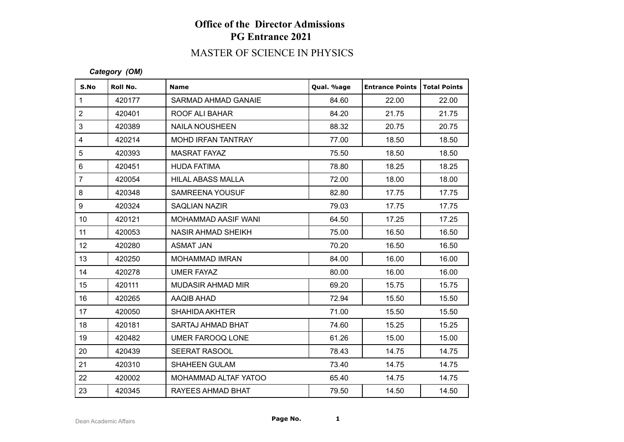# MASTER OF SCIENCE IN PHYSICS

#### *Category (OM)*

| S.No             | Roll No. | <b>Name</b>               | Qual. %age | <b>Entrance Points</b> | Total Points |
|------------------|----------|---------------------------|------------|------------------------|--------------|
| $\mathbf{1}$     | 420177   | SARMAD AHMAD GANAIE       | 84.60      | 22.00                  | 22.00        |
| $\overline{2}$   | 420401   | ROOF ALI BAHAR            | 84.20      | 21.75                  | 21.75        |
| $\mathfrak{S}$   | 420389   | <b>NAILA NOUSHEEN</b>     | 88.32      | 20.75                  | 20.75        |
| $\overline{4}$   | 420214   | <b>MOHD IRFAN TANTRAY</b> | 77.00      | 18.50                  | 18.50        |
| $\sqrt{5}$       | 420393   | <b>MASRAT FAYAZ</b>       | 75.50      | 18.50                  | 18.50        |
| $\,6\,$          | 420451   | <b>HUDA FATIMA</b>        | 78.80      | 18.25                  | 18.25        |
| $\overline{7}$   | 420054   | <b>HILAL ABASS MALLA</b>  | 72.00      | 18.00                  | 18.00        |
| $\bf 8$          | 420348   | <b>SAMREENA YOUSUF</b>    | 82.80      | 17.75                  | 17.75        |
| $\boldsymbol{9}$ | 420324   | <b>SAQLIAN NAZIR</b>      | 79.03      | 17.75                  | 17.75        |
| 10 <sup>°</sup>  | 420121   | MOHAMMAD AASIF WANI       | 64.50      | 17.25                  | 17.25        |
| 11               | 420053   | <b>NASIR AHMAD SHEIKH</b> | 75.00      | 16.50                  | 16.50        |
| 12               | 420280   | <b>ASMAT JAN</b>          | 70.20      | 16.50                  | 16.50        |
| 13               | 420250   | <b>MOHAMMAD IMRAN</b>     | 84.00      | 16.00                  | 16.00        |
| 14               | 420278   | <b>UMER FAYAZ</b>         | 80.00      | 16.00                  | 16.00        |
| 15 <sub>15</sub> | 420111   | MUDASIR AHMAD MIR         | 69.20      | 15.75                  | 15.75        |
| 16               | 420265   | AAQIB AHAD                | 72.94      | 15.50                  | 15.50        |
| 17               | 420050   | <b>SHAHIDA AKHTER</b>     | 71.00      | 15.50                  | 15.50        |
| 18               | 420181   | SARTAJ AHMAD BHAT         | 74.60      | 15.25                  | 15.25        |
| 19               | 420482   | UMER FAROOQ LONE          | 61.26      | 15.00                  | 15.00        |
| 20               | 420439   | SEERAT RASOOL             | 78.43      | 14.75                  | 14.75        |
| 21               | 420310   | <b>SHAHEEN GULAM</b>      | 73.40      | 14.75                  | 14.75        |
| 22               | 420002   | MOHAMMAD ALTAF YATOO      | 65.40      | 14.75                  | 14.75        |
| 23               | 420345   | RAYEES AHMAD BHAT         | 79.50      | 14.50                  | 14.50        |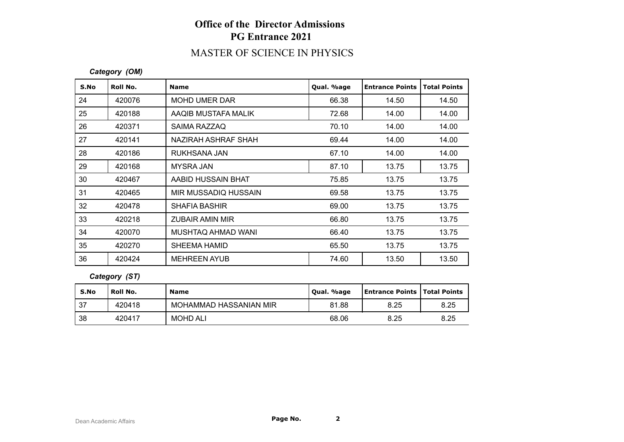# MASTER OF SCIENCE IN PHYSICS

#### *Category (OM)*

| S.No            | Roll No. | <b>Name</b>            | Qual. %age | <b>Entrance Points</b> | <b>Total Points</b> |
|-----------------|----------|------------------------|------------|------------------------|---------------------|
| 24              | 420076   | <b>MOHD UMER DAR</b>   | 66.38      | 14.50                  | 14.50               |
| 25              | 420188   | AAQIB MUSTAFA MALIK    | 72.68      | 14.00                  | 14.00               |
| 26              | 420371   | SAIMA RAZZAQ           | 70.10      | 14.00                  | 14.00               |
| 27              | 420141   | NAZIRAH ASHRAF SHAH    | 69.44      | 14.00                  | 14.00               |
| 28              | 420186   | RUKHSANA JAN           | 67.10      | 14.00                  | 14.00               |
| 29              | 420168   | <b>MYSRA JAN</b>       | 87.10      | 13.75                  | 13.75               |
| 30              | 420467   | AABID HUSSAIN BHAT     | 75.85      | 13.75                  | 13.75               |
| 31              | 420465   | MIR MUSSADIQ HUSSAIN   | 69.58      | 13.75                  | 13.75               |
| 32 <sup>°</sup> | 420478   | <b>SHAFIA BASHIR</b>   | 69.00      | 13.75                  | 13.75               |
| 33              | 420218   | <b>ZUBAIR AMIN MIR</b> | 66.80      | 13.75                  | 13.75               |
| 34              | 420070   | MUSHTAQ AHMAD WANI     | 66.40      | 13.75                  | 13.75               |
| 35              | 420270   | <b>SHEEMA HAMID</b>    | 65.50      | 13.75                  | 13.75               |
| 36              | 420424   | <b>MEHREEN AYUB</b>    | 74.60      | 13.50                  | 13.50               |

*Category (ST)*

| S.No | Roll No. | <b>Name</b>            | Qual. %age | Entrance Points   Total Points |      |
|------|----------|------------------------|------------|--------------------------------|------|
| 37   | 420418   | MOHAMMAD HASSANIAN MIR | 81.88      | 8.25                           | 8.25 |
| 38   | 420417   | <b>MOHD ALI</b>        | 68.06      | 8.25                           | 8.25 |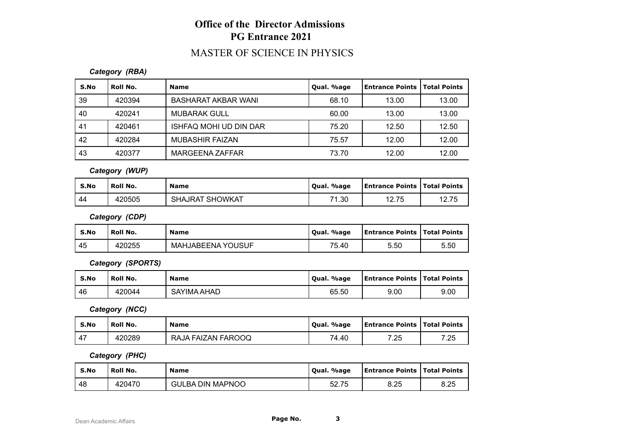### MASTER OF SCIENCE IN PHYSICS

### *Category (RBA)*

| S.No | Roll No. | <b>Name</b>            | Qual. %age | Entrance Points | Total Points |
|------|----------|------------------------|------------|-----------------|--------------|
| 39   | 420394   | BASHARAT AKBAR WANI    | 68.10      | 13.00           | 13.00        |
| 40   | 420241   | <b>MUBARAK GULL</b>    | 60.00      | 13.00           | 13.00        |
| 41   | 420461   | ISHFAQ MOHI UD DIN DAR | 75.20      | 12.50           | 12.50        |
| 42   | 420284   | MUBASHIR FAIZAN        | 75.57      | 12.00           | 12.00        |
| 43   | 420377   | MARGEENA ZAFFAR        | 73.70      | 12.00           | 12.00        |

*Category (WUP)*

| S.No | Roll No. | <b>Name</b>            | Qual. %age | <b>Entrance Points   Total Points</b> |             |
|------|----------|------------------------|------------|---------------------------------------|-------------|
| -44  | 420505   | <b>SHAJRAT SHOWKAT</b> | 71.30      | 12.75                                 | 12.75<br>10 |

*Category (CDP)*

| S.No | Roll No. | <b>Name</b>              | Qual. %age | Entrance Points   Total Points |      |
|------|----------|--------------------------|------------|--------------------------------|------|
| 45   | 420255   | <b>MAHJABEENA YOUSUF</b> | 75.40      | 5.50                           | 5.50 |

*Category (SPORTS)*

| S.No | Roll No. | <b>Name</b> | Qual. %age | <b>Entrance Points   Total Points</b> |      |
|------|----------|-------------|------------|---------------------------------------|------|
| 46   | 420044   | SAYIMA AHAD | 65.50      | 9.00                                  | 9.00 |

*Category (NCC)*

| S.No                     | Roll No. | <b>Name</b>        | . %age<br>Oual. | <b>Entrance Points   Total Points</b> |      |
|--------------------------|----------|--------------------|-----------------|---------------------------------------|------|
| $\overline{\phantom{a}}$ | 420289   | RAJA FAIZAN FAROOQ | 74.40           | 7.25                                  | 7.25 |

*Category (PHC)*

| S.No | Roll No. | <b>Name</b>             | Qual. %age | <b>Entrance Points   Total Points</b> |      |
|------|----------|-------------------------|------------|---------------------------------------|------|
| 48   | 420470   | <b>GULBA DIN MAPNOO</b> | 52.75      | 8.25                                  | 8.25 |